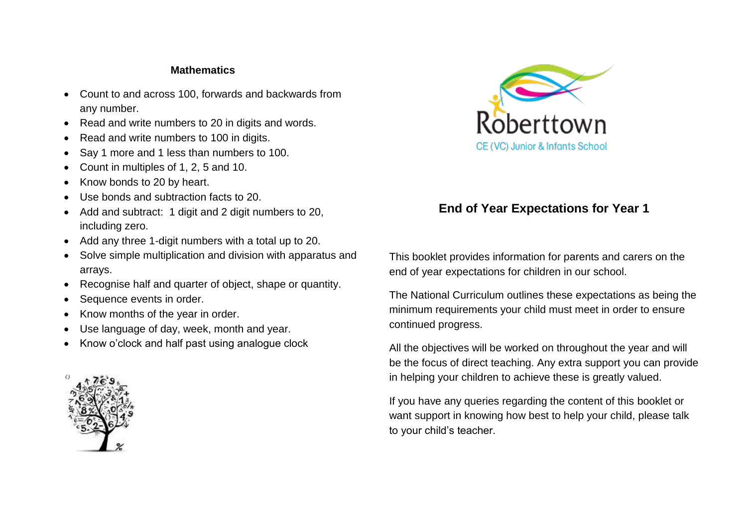#### **Mathematics**

- Count to and across 100, forwards and backwards from any number.
- Read and write numbers to 20 in digits and words.
- Read and write numbers to 100 in digits.
- Say 1 more and 1 less than numbers to 100.
- Count in multiples of 1, 2, 5 and 10.
- Know bonds to 20 by heart.
- Use bonds and subtraction facts to 20.
- Add and subtract: 1 digit and 2 digit numbers to 20, including zero.
- Add any three 1-digit numbers with a total up to 20.
- Solve simple multiplication and division with apparatus and arrays.
- Recognise half and quarter of object, shape or quantity.
- Sequence events in order.
- Know months of the year in order.
- Use language of day, week, month and year.
- Know o'clock and half past using analogue clock





# **End of Year Expectations for Year 1**

This booklet provides information for parents and carers on the end of year expectations for children in our school.

The National Curriculum outlines these expectations as being the minimum requirements your child must meet in order to ensure continued progress.

All the objectives will be worked on throughout the year and will be the focus of direct teaching. Any extra support you can provide in helping your children to achieve these is greatly valued.

If you have any queries regarding the content of this booklet or want support in knowing how best to help your child, please talk to your child's teacher.